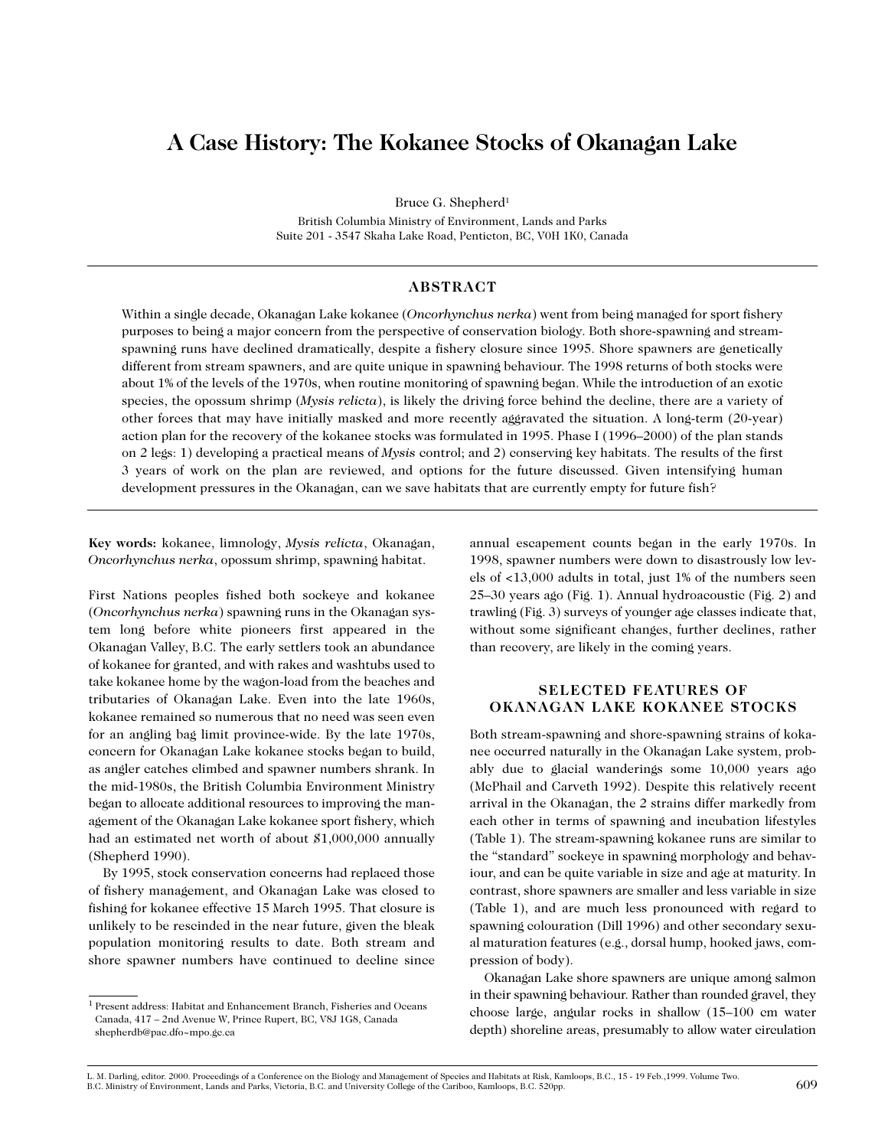# **A Case History: The Kokanee Stocks of Okanagan Lake**

Bruce G. Shepherd<sup>1</sup>

British Columbia Ministry of Environment, Lands and Parks Suite 201 - 3547 Skaha Lake Road, Penticton, BC, V0H 1K0, Canada

# **ABSTRACT**

Within a single decade, Okanagan Lake kokanee (*Oncorhynchus nerka*) went from being managed for sport fishery purposes to being a major concern from the perspective of conservation biology. Both shore-spawning and streamspawning runs have declined dramatically, despite a fishery closure since 1995. Shore spawners are genetically different from stream spawners, and are quite unique in spawning behaviour. The 1998 returns of both stocks were about 1% of the levels of the 1970s, when routine monitoring of spawning began. While the introduction of an exotic species, the opossum shrimp (*Mysis relicta*), is likely the driving force behind the decline, there are a variety of other forces that may have initially masked and more recently aggravated the situation. A long-term (20-year) action plan for the recovery of the kokanee stocks was formulated in 1995. Phase I (1996–2000) of the plan stands on 2 legs: 1) developing a practical means of *Mysis* control; and 2) conserving key habitats. The results of the first 3 years of work on the plan are reviewed, and options for the future discussed. Given intensifying human development pressures in the Okanagan, can we save habitats that are currently empty for future fish?

**Key words:** kokanee, limnology, *Mysis relicta*, Okanagan, *Oncorhynchus nerka*, opossum shrimp, spawning habitat.

First Nations peoples fished both sockeye and kokanee (*Oncorhynchus nerka*) spawning runs in the Okanagan system long before white pioneers first appeared in the Okanagan Valley, B.C. The early settlers took an abundance of kokanee for granted, and with rakes and washtubs used to take kokanee home by the wagon-load from the beaches and tributaries of Okanagan Lake. Even into the late 1960s, kokanee remained so numerous that no need was seen even for an angling bag limit province-wide. By the late 1970s, concern for Okanagan Lake kokanee stocks began to build, as angler catches climbed and spawner numbers shrank. In the mid-1980s, the British Columbia Environment Ministry began to allocate additional resources to improving the management of the Okanagan Lake kokanee sport fishery, which had an estimated net worth of about \$1,000,000 annually (Shepherd 1990).

By 1995, stock conservation concerns had replaced those of fishery management, and Okanagan Lake was closed to fishing for kokanee effective 15 March 1995. That closure is unlikely to be rescinded in the near future, given the bleak population monitoring results to date. Both stream and shore spawner numbers have continued to decline since

annual escapement counts began in the early 1970s. In 1998, spawner numbers were down to disastrously low levels of <13,000 adults in total, just 1% of the numbers seen 25–30 years ago (Fig. 1). Annual hydroacoustic (Fig. 2) and trawling (Fig. 3) surveys of younger age classes indicate that, without some significant changes, further declines, rather than recovery, are likely in the coming years.

# **SELECTED FEATURES OF OKANAGAN LAKE KOKANEE STOCKS**

Both stream-spawning and shore-spawning strains of kokanee occurred naturally in the Okanagan Lake system, probably due to glacial wanderings some 10,000 years ago (McPhail and Carveth 1992). Despite this relatively recent arrival in the Okanagan, the 2 strains differ markedly from each other in terms of spawning and incubation lifestyles (Table 1). The stream-spawning kokanee runs are similar to the "standard" sockeye in spawning morphology and behaviour, and can be quite variable in size and age at maturity. In contrast, shore spawners are smaller and less variable in size (Table 1), and are much less pronounced with regard to spawning colouration (Dill 1996) and other secondary sexual maturation features (e.g., dorsal hump, hooked jaws, compression of body).

Okanagan Lake shore spawners are unique among salmon in their spawning behaviour. Rather than rounded gravel, they choose large, angular rocks in shallow (15–100 cm water depth) shoreline areas, presumably to allow water circulation

<sup>1</sup> Present address: Habitat and Enhancement Branch, Fisheries and Oceans Canada, 417 – 2nd Avenue W, Prince Rupert, BC, V8J 1G8, Canada shepherdb@pac.dfo~mpo.gc.ca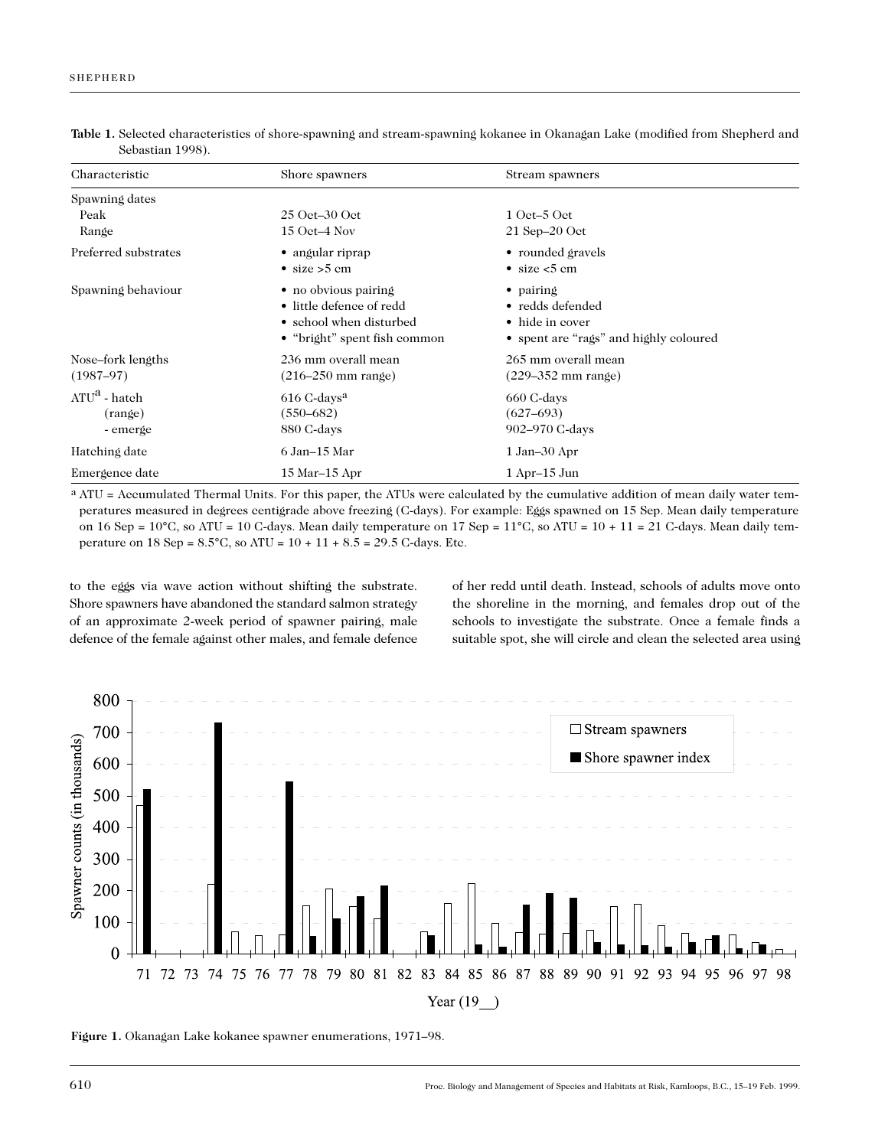| Characteristic       | Shore spawners               | Stream spawners                        |
|----------------------|------------------------------|----------------------------------------|
| Spawning dates       |                              |                                        |
| Peak                 | $25$ Oct-30 Oct              | $1$ Oct–5 Oct                          |
| Range                | $15$ Oct-4 Nov               | $21$ Sep $-20$ Oct                     |
| Preferred substrates | • angular riprap             | • rounded gravels                      |
|                      | • size $>$ 5 cm              | • size $<$ 5 cm                        |
| Spawning behaviour   | • no obvious pairing         | • pairing                              |
|                      | • little defence of redd     | • redds defended                       |
|                      | • school when disturbed      | • hide in cover                        |
|                      | • "bright" spent fish common | • spent are "rags" and highly coloured |
| Nose-fork lengths    | 236 mm overall mean          | 265 mm overall mean                    |
| $(1987-97)$          | $(216 - 250$ mm range)       | $(229 - 352$ mm range)                 |
| $ATU^a$ - hatch      | $616$ C-days <sup>a</sup>    | 660 C-days                             |
| (range)              | $(550 - 682)$                | $(627-693)$                            |
| - emerge             | 880 C-days                   | 902–970 C-days                         |
| Hatching date        | 6 Jan–15 Mar                 | $1 Jan-30 Apr$                         |
| Emergence date       | 15 Mar-15 Apr                | $1$ Apr $-15$ Jun                      |

**Table 1.** Selected characteristics of shore-spawning and stream-spawning kokanee in Okanagan Lake (modified from Shepherd and Sebastian 1998).

a ATU = Accumulated Thermal Units. For this paper, the ATUs were calculated by the cumulative addition of mean daily water temperatures measured in degrees centigrade above freezing (C-days). For example: Eggs spawned on 15 Sep. Mean daily temperature on 16 Sep =  $10^{\circ}$ C, so ATU = 10 C-days. Mean daily temperature on 17 Sep =  $11^{\circ}$ C, so ATU =  $10 + 11 = 21$  C-days. Mean daily temperature on 18 Sep =  $8.5^{\circ}$ C, so ATU =  $10 + 11 + 8.5 = 29.5$  C-days. Etc.

to the eggs via wave action without shifting the substrate. Shore spawners have abandoned the standard salmon strategy of an approximate 2-week period of spawner pairing, male defence of the female against other males, and female defence of her redd until death. Instead, schools of adults move onto the shoreline in the morning, and females drop out of the schools to investigate the substrate. Once a female finds a suitable spot, she will circle and clean the selected area using



**Figure 1.** Okanagan Lake kokanee spawner enumerations, 1971–98.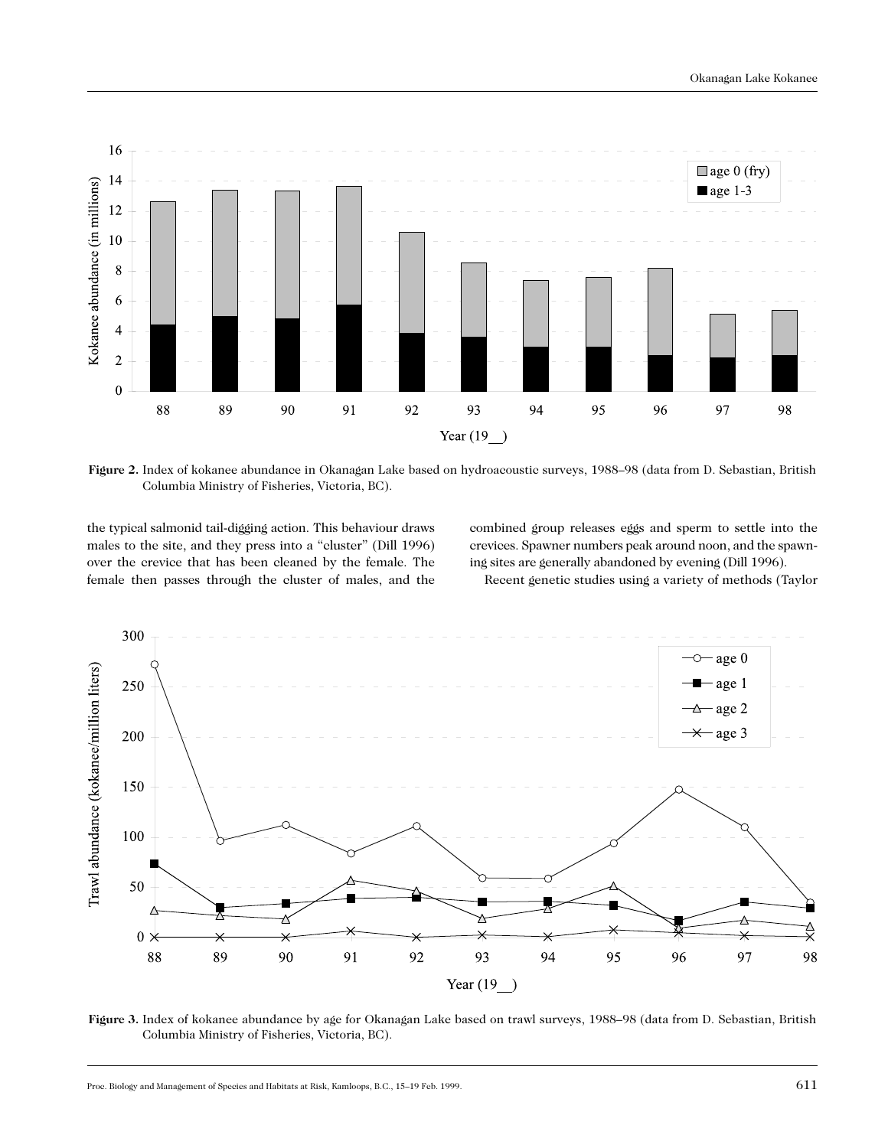

**Figure 2.** Index of kokanee abundance in Okanagan Lake based on hydroacoustic surveys, 1988–98 (data from D. Sebastian, British Columbia Ministry of Fisheries, Victoria, BC).

the typical salmonid tail-digging action. This behaviour draws males to the site, and they press into a "cluster" (Dill 1996) over the crevice that has been cleaned by the female. The female then passes through the cluster of males, and the

combined group releases eggs and sperm to settle into the crevices. Spawner numbers peak around noon, and the spawning sites are generally abandoned by evening (Dill 1996).

Recent genetic studies using a variety of methods (Taylor



**Figure 3.** Index of kokanee abundance by age for Okanagan Lake based on trawl surveys, 1988–98 (data from D. Sebastian, British Columbia Ministry of Fisheries, Victoria, BC).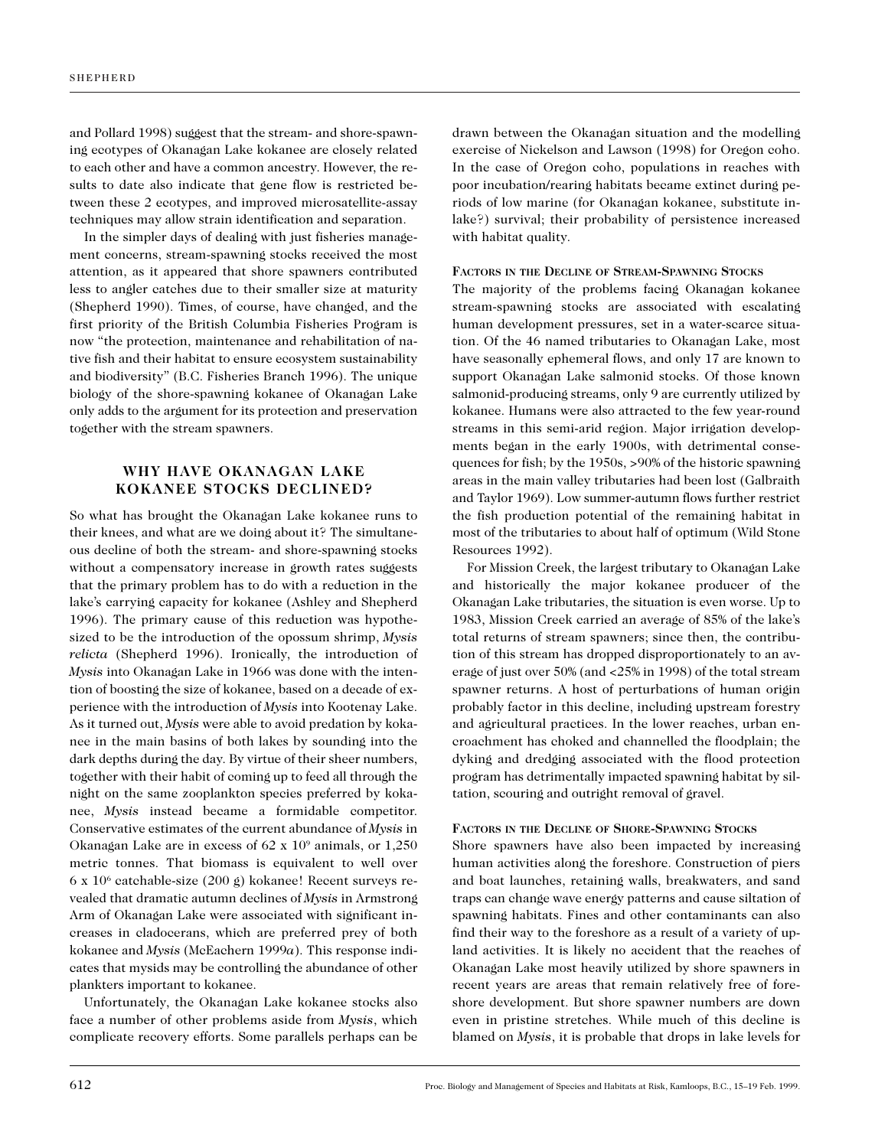and Pollard 1998) suggest that the stream- and shore-spawning ecotypes of Okanagan Lake kokanee are closely related to each other and have a common ancestry. However, the results to date also indicate that gene flow is restricted between these 2 ecotypes, and improved microsatellite-assay techniques may allow strain identification and separation.

In the simpler days of dealing with just fisheries management concerns, stream-spawning stocks received the most attention, as it appeared that shore spawners contributed less to angler catches due to their smaller size at maturity (Shepherd 1990). Times, of course, have changed, and the first priority of the British Columbia Fisheries Program is now "the protection, maintenance and rehabilitation of native fish and their habitat to ensure ecosystem sustainability and biodiversity" (B.C. Fisheries Branch 1996). The unique biology of the shore-spawning kokanee of Okanagan Lake only adds to the argument for its protection and preservation together with the stream spawners.

# **WHY HAVE OKANAGAN LAKE KOKANEE STOCKS DECLINED?**

So what has brought the Okanagan Lake kokanee runs to their knees, and what are we doing about it? The simultaneous decline of both the stream- and shore-spawning stocks without a compensatory increase in growth rates suggests that the primary problem has to do with a reduction in the lake's carrying capacity for kokanee (Ashley and Shepherd 1996). The primary cause of this reduction was hypothesized to be the introduction of the opossum shrimp, *Mysis relicta* (Shepherd 1996). Ironically, the introduction of *Mysis* into Okanagan Lake in 1966 was done with the intention of boosting the size of kokanee, based on a decade of experience with the introduction of *Mysis* into Kootenay Lake. As it turned out, *Mysis* were able to avoid predation by kokanee in the main basins of both lakes by sounding into the dark depths during the day. By virtue of their sheer numbers, together with their habit of coming up to feed all through the night on the same zooplankton species preferred by kokanee, *Mysis* instead became a formidable competitor. Conservative estimates of the current abundance of *Mysis* in Okanagan Lake are in excess of 62 x 109 animals, or 1,250 metric tonnes. That biomass is equivalent to well over  $6 \times 10^6$  catchable-size (200 g) kokanee! Recent surveys revealed that dramatic autumn declines of *Mysis* in Armstrong Arm of Okanagan Lake were associated with significant increases in cladocerans, which are preferred prey of both kokanee and *Mysis* (McEachern 1999*a*). This response indicates that mysids may be controlling the abundance of other plankters important to kokanee.

Unfortunately, the Okanagan Lake kokanee stocks also face a number of other problems aside from *Mysis*, which complicate recovery efforts. Some parallels perhaps can be

drawn between the Okanagan situation and the modelling exercise of Nickelson and Lawson (1998) for Oregon coho. In the case of Oregon coho, populations in reaches with poor incubation/rearing habitats became extinct during periods of low marine (for Okanagan kokanee, substitute inlake?) survival; their probability of persistence increased with habitat quality.

#### **FACTORS IN THE DECLINE OF STREAM-SPAWNING STOCKS**

The majority of the problems facing Okanagan kokanee stream-spawning stocks are associated with escalating human development pressures, set in a water-scarce situation. Of the 46 named tributaries to Okanagan Lake, most have seasonally ephemeral flows, and only 17 are known to support Okanagan Lake salmonid stocks. Of those known salmonid-producing streams, only 9 are currently utilized by kokanee. Humans were also attracted to the few year-round streams in this semi-arid region. Major irrigation developments began in the early 1900s, with detrimental consequences for fish; by the 1950s, >90% of the historic spawning areas in the main valley tributaries had been lost (Galbraith and Taylor 1969). Low summer-autumn flows further restrict the fish production potential of the remaining habitat in most of the tributaries to about half of optimum (Wild Stone Resources 1992).

For Mission Creek, the largest tributary to Okanagan Lake and historically the major kokanee producer of the Okanagan Lake tributaries, the situation is even worse. Up to 1983, Mission Creek carried an average of 85% of the lake's total returns of stream spawners; since then, the contribution of this stream has dropped disproportionately to an average of just over 50% (and <25% in 1998) of the total stream spawner returns. A host of perturbations of human origin probably factor in this decline, including upstream forestry and agricultural practices. In the lower reaches, urban encroachment has choked and channelled the floodplain; the dyking and dredging associated with the flood protection program has detrimentally impacted spawning habitat by siltation, scouring and outright removal of gravel.

#### **FACTORS IN THE DECLINE OF SHORE-SPAWNING STOCKS**

Shore spawners have also been impacted by increasing human activities along the foreshore. Construction of piers and boat launches, retaining walls, breakwaters, and sand traps can change wave energy patterns and cause siltation of spawning habitats. Fines and other contaminants can also find their way to the foreshore as a result of a variety of upland activities. It is likely no accident that the reaches of Okanagan Lake most heavily utilized by shore spawners in recent years are areas that remain relatively free of foreshore development. But shore spawner numbers are down even in pristine stretches. While much of this decline is blamed on *Mysis*, it is probable that drops in lake levels for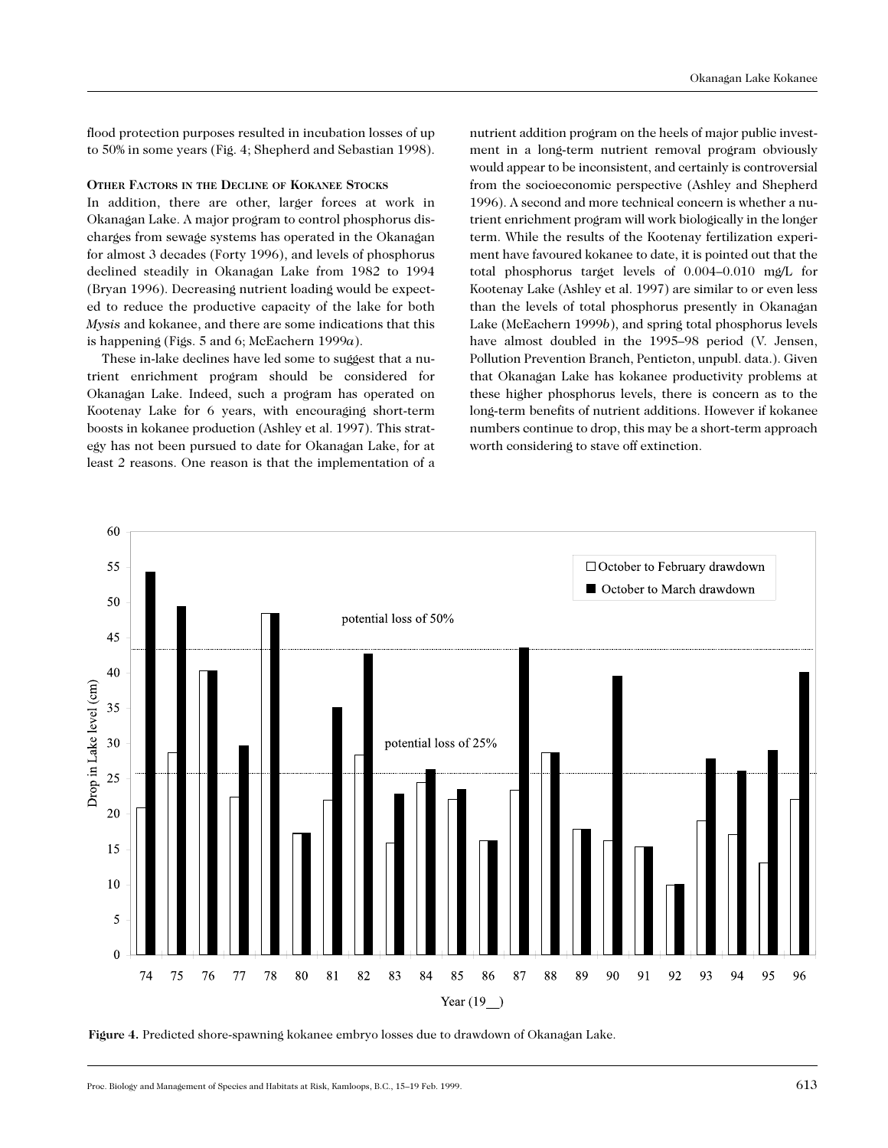flood protection purposes resulted in incubation losses of up to 50% in some years (Fig. 4; Shepherd and Sebastian 1998).

#### **OTHER FACTORS IN THE DECLINE OF KOKANEE STOCKS**

In addition, there are other, larger forces at work in Okanagan Lake. A major program to control phosphorus discharges from sewage systems has operated in the Okanagan for almost 3 decades (Forty 1996), and levels of phosphorus declined steadily in Okanagan Lake from 1982 to 1994 (Bryan 1996). Decreasing nutrient loading would be expected to reduce the productive capacity of the lake for both *Mysis* and kokanee, and there are some indications that this is happening (Figs. 5 and 6; McEachern 1999*a*).

These in-lake declines have led some to suggest that a nutrient enrichment program should be considered for Okanagan Lake. Indeed, such a program has operated on Kootenay Lake for 6 years, with encouraging short-term boosts in kokanee production (Ashley et al. 1997). This strategy has not been pursued to date for Okanagan Lake, for at least 2 reasons. One reason is that the implementation of a

nutrient addition program on the heels of major public investment in a long-term nutrient removal program obviously would appear to be inconsistent, and certainly is controversial from the socioeconomic perspective (Ashley and Shepherd 1996). A second and more technical concern is whether a nutrient enrichment program will work biologically in the longer term. While the results of the Kootenay fertilization experiment have favoured kokanee to date, it is pointed out that the total phosphorus target levels of 0.004–0.010 mg/L for Kootenay Lake (Ashley et al. 1997) are similar to or even less than the levels of total phosphorus presently in Okanagan Lake (McEachern 1999*b*), and spring total phosphorus levels have almost doubled in the 1995–98 period (V. Jensen, Pollution Prevention Branch, Penticton, unpubl. data.). Given that Okanagan Lake has kokanee productivity problems at these higher phosphorus levels, there is concern as to the long-term benefits of nutrient additions. However if kokanee numbers continue to drop, this may be a short-term approach worth considering to stave off extinction.



**Figure 4.** Predicted shore-spawning kokanee embryo losses due to drawdown of Okanagan Lake.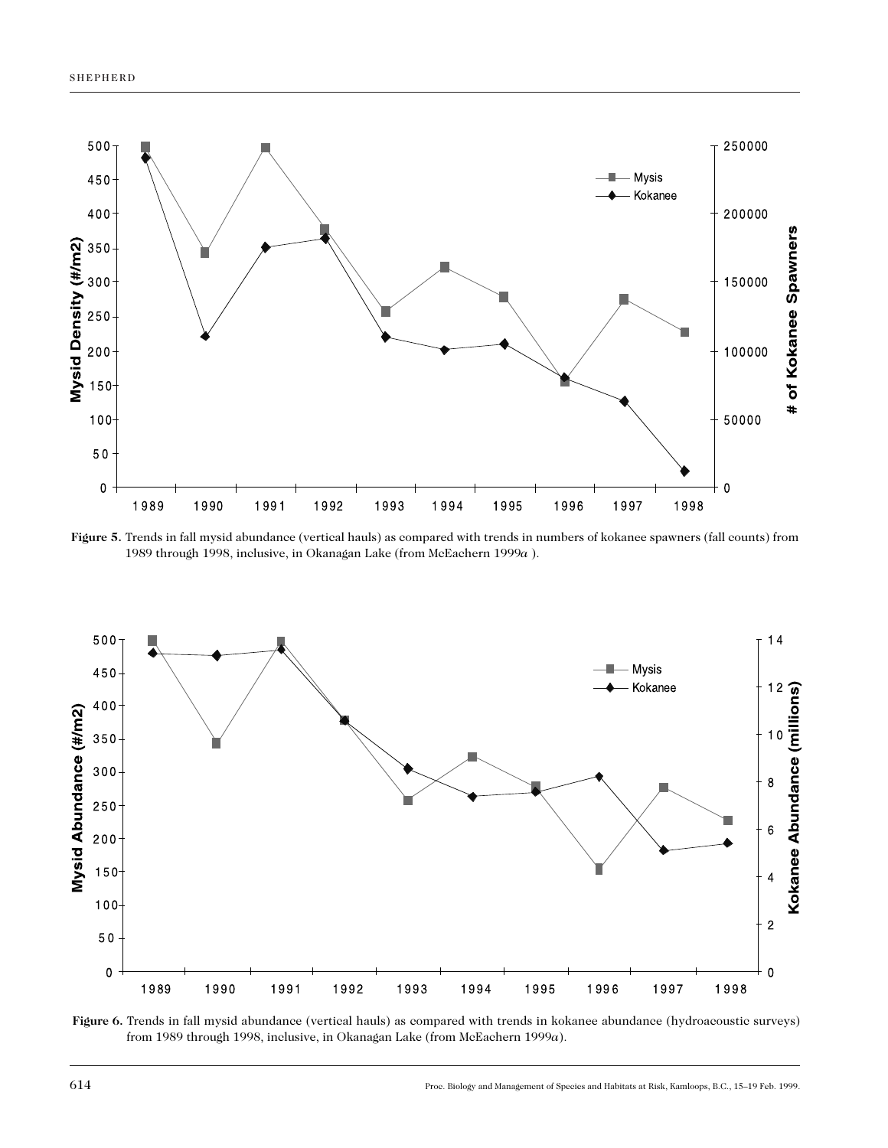

**Figure 5.** Trends in fall mysid abundance (vertical hauls) as compared with trends in numbers of kokanee spawners (fall counts) from 1989 through 1998, inclusive, in Okanagan Lake (from McEachern 1999*a* ).



**Figure 6.** Trends in fall mysid abundance (vertical hauls) as compared with trends in kokanee abundance (hydroacoustic surveys) from 1989 through 1998, inclusive, in Okanagan Lake (from McEachern 1999*a*).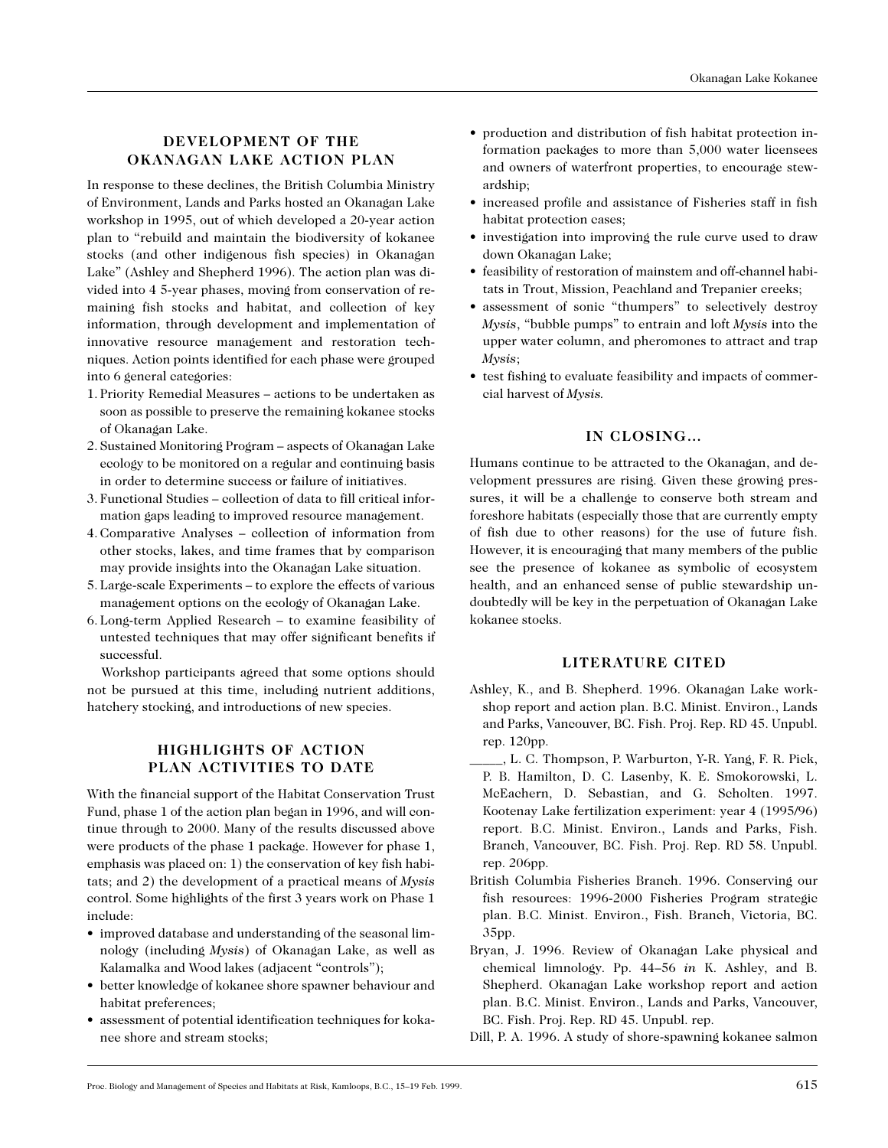# **DEVELOPMENT OF THE OKANAGAN LAKE ACTION PLAN**

In response to these declines, the British Columbia Ministry of Environment, Lands and Parks hosted an Okanagan Lake workshop in 1995, out of which developed a 20-year action plan to "rebuild and maintain the biodiversity of kokanee stocks (and other indigenous fish species) in Okanagan Lake" (Ashley and Shepherd 1996). The action plan was divided into 4 5-year phases, moving from conservation of remaining fish stocks and habitat, and collection of key information, through development and implementation of innovative resource management and restoration techniques. Action points identified for each phase were grouped into 6 general categories:

- 1. Priority Remedial Measures actions to be undertaken as soon as possible to preserve the remaining kokanee stocks of Okanagan Lake.
- 2. Sustained Monitoring Program aspects of Okanagan Lake ecology to be monitored on a regular and continuing basis in order to determine success or failure of initiatives.
- 3. Functional Studies collection of data to fill critical information gaps leading to improved resource management.
- 4. Comparative Analyses collection of information from other stocks, lakes, and time frames that by comparison may provide insights into the Okanagan Lake situation.
- 5. Large-scale Experiments to explore the effects of various management options on the ecology of Okanagan Lake.
- 6. Long-term Applied Research to examine feasibility of untested techniques that may offer significant benefits if successful.

Workshop participants agreed that some options should not be pursued at this time, including nutrient additions, hatchery stocking, and introductions of new species.

# **HIGHLIGHTS OF ACTION PLAN ACTIVITIES TO DATE**

With the financial support of the Habitat Conservation Trust Fund, phase 1 of the action plan began in 1996, and will continue through to 2000. Many of the results discussed above were products of the phase 1 package. However for phase 1, emphasis was placed on: 1) the conservation of key fish habitats; and 2) the development of a practical means of *Mysis* control. Some highlights of the first 3 years work on Phase 1 include:

- improved database and understanding of the seasonal limnology (including *Mysis*) of Okanagan Lake, as well as Kalamalka and Wood lakes (adjacent "controls");
- better knowledge of kokanee shore spawner behaviour and habitat preferences;
- assessment of potential identification techniques for kokanee shore and stream stocks;
- production and distribution of fish habitat protection information packages to more than 5,000 water licensees and owners of waterfront properties, to encourage stewardship;
- increased profile and assistance of Fisheries staff in fish habitat protection cases;
- investigation into improving the rule curve used to draw down Okanagan Lake;
- feasibility of restoration of mainstem and off-channel habitats in Trout, Mission, Peachland and Trepanier creeks;
- assessment of sonic "thumpers" to selectively destroy *Mysis*, "bubble pumps" to entrain and loft *Mysis* into the upper water column, and pheromones to attract and trap *Mysis*;
- test fishing to evaluate feasibility and impacts of commercial harvest of *Mysis.*

# **IN CLOSING…**

Humans continue to be attracted to the Okanagan, and development pressures are rising. Given these growing pressures, it will be a challenge to conserve both stream and foreshore habitats (especially those that are currently empty of fish due to other reasons) for the use of future fish. However, it is encouraging that many members of the public see the presence of kokanee as symbolic of ecosystem health, and an enhanced sense of public stewardship undoubtedly will be key in the perpetuation of Okanagan Lake kokanee stocks.

### **LITERATURE CITED**

- Ashley, K., and B. Shepherd. 1996. Okanagan Lake workshop report and action plan. B.C. Minist. Environ., Lands and Parks, Vancouver, BC. Fish. Proj. Rep. RD 45. Unpubl. rep. 120pp.
- \_\_\_\_\_, L. C. Thompson, P. Warburton, Y-R. Yang, F. R. Pick, P. B. Hamilton, D. C. Lasenby, K. E. Smokorowski, L. McEachern, D. Sebastian, and G. Scholten. 1997. Kootenay Lake fertilization experiment: year 4 (1995/96) report. B.C. Minist. Environ., Lands and Parks, Fish. Branch, Vancouver, BC. Fish. Proj. Rep. RD 58. Unpubl. rep. 206pp.
- British Columbia Fisheries Branch. 1996. Conserving our fish resources: 1996-2000 Fisheries Program strategic plan. B.C. Minist. Environ., Fish. Branch, Victoria, BC. 35pp.
- Bryan, J. 1996. Review of Okanagan Lake physical and chemical limnology. Pp. 44–56 *in* K. Ashley, and B. Shepherd. Okanagan Lake workshop report and action plan. B.C. Minist. Environ., Lands and Parks, Vancouver, BC. Fish. Proj. Rep. RD 45. Unpubl. rep.
- Dill, P. A. 1996. A study of shore-spawning kokanee salmon